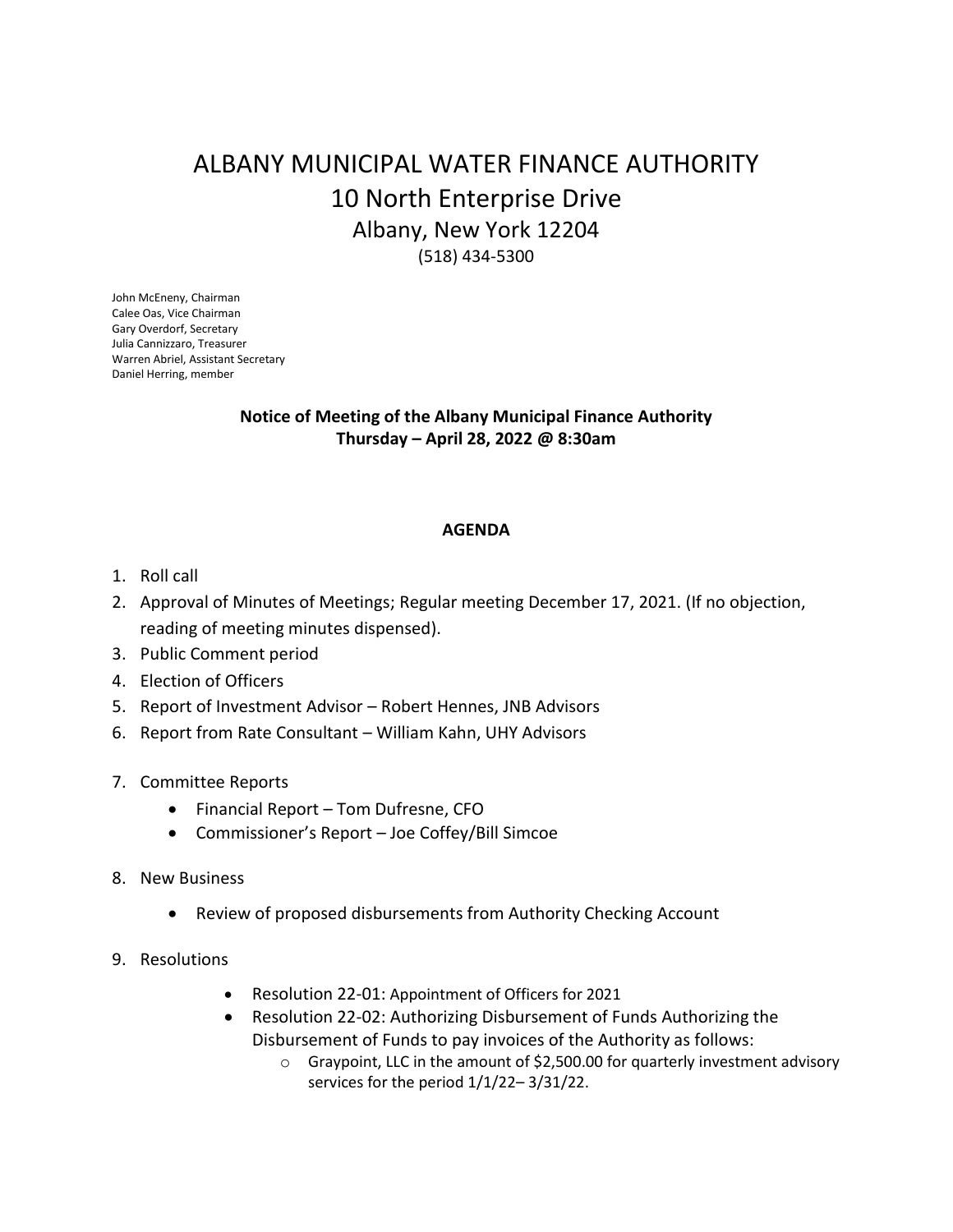# ALBANY MUNICIPAL WATER FINANCE AUTHORITY 10 North Enterprise Drive Albany, New York 12204 (518) 434-5300

John McEneny, Chairman Calee Oas, Vice Chairman Gary Overdorf, Secretary Julia Cannizzaro, Treasurer Warren Abriel, Assistant Secretary Daniel Herring, member

# **Notice of Meeting of the Albany Municipal Finance Authority Thursday – April 28, 2022 @ 8:30am**

## **AGENDA**

- 1. Roll call
- 2. Approval of Minutes of Meetings; Regular meeting December 17, 2021. (If no objection, reading of meeting minutes dispensed).
- 3. Public Comment period
- 4. Election of Officers
- 5. Report of Investment Advisor Robert Hennes, JNB Advisors
- 6. Report from Rate Consultant William Kahn, UHY Advisors
- 7. Committee Reports
	- Financial Report Tom Dufresne, CFO
	- Commissioner's Report Joe Coffey/Bill Simcoe
- 8. New Business
	- Review of proposed disbursements from Authority Checking Account
- 9. Resolutions
	- Resolution 22-01: Appointment of Officers for 2021
	- Resolution 22-02: Authorizing Disbursement of Funds Authorizing the Disbursement of Funds to pay invoices of the Authority as follows:
		- $\circ$  Graypoint, LLC in the amount of \$2,500.00 for quarterly investment advisory services for the period 1/1/22– 3/31/22.